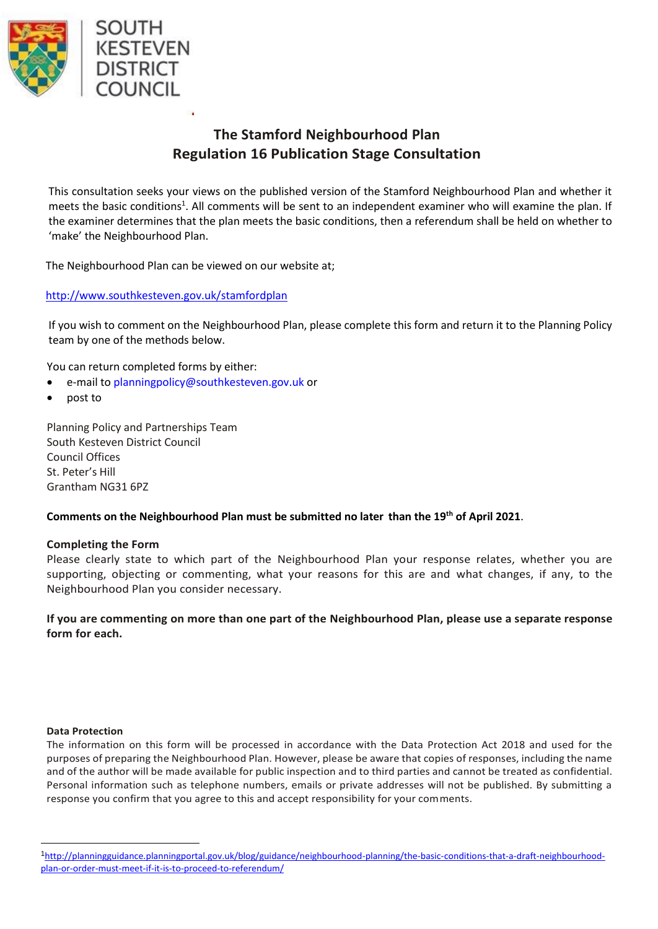

# **The Stamford Neighbourhood Plan Regulation 16 Publication Stage Consultation**

This consultation seeks your views on the published version of the Stamford Neighbourhood Plan and whether it meets the basic conditions<sup>1</sup>. All comments will be sent to an independent examiner who will examine the plan. If the examiner determines that the plan meets the basic conditions, then a referendum shall be held on whether to 'make' the Neighbourhood Plan.

The Neighbourhood Plan can be viewed on our website at;

### <http://www.southkesteven.gov.uk/stamfordplan>

If you wish to comment on the Neighbourhood Plan, please complete this form and return it to the Planning Policy team by one of the methods below.

You can return completed forms by either:

- e-mail to [planningpolicy@southkesteven.gov.uk](mailto:planningpolicy@southkesteven.gov.uk) or
- post to

Planning Policy and Partnerships Team South Kesteven District Council Council Offices St. Peter's Hill Grantham NG31 6PZ

#### **Comments on the Neighbourhood Plan must be submitted no later than the 19th of April 2021**.

#### **Completing the Form**

Please clearly state to which part of the Neighbourhood Plan your response relates, whether you are supporting, objecting or commenting, what your reasons for this are and what changes, if any, to the Neighbourhood Plan you consider necessary.

**If you are commenting on more than one part of the Neighbourhood Plan, please use a separate response form for each.**

#### **Data Protection**

The information on this form will be processed in accordance with the Data Protection Act 2018 and used for the purposes of preparing the Neighbourhood Plan. However, please be aware that copies of responses, including the name and of the author will be made available for public inspection and to third parties and cannot be treated as confidential. Personal information such as telephone numbers, emails or private addresses will not be published. By submitting a response you confirm that you agree to this and accept responsibility for your comments.

<sup>1</sup>[http://planningguidance.planningportal.gov.uk/blog/guidance/neighbourhood-planning/the-basic-conditions-that-a-draft-neighbourhood](http://planningguidance.planningportal.gov.uk/blog/guidance/neighbourhood-planning/the-basic-conditions-that-a-draft-neighbourhood-plan-or-order-must-meet-if-it-is-to-proceed-to-referendum/)[plan-or-order-must-meet-if-it-is-to-proceed-to-referendum/](http://planningguidance.planningportal.gov.uk/blog/guidance/neighbourhood-planning/the-basic-conditions-that-a-draft-neighbourhood-plan-or-order-must-meet-if-it-is-to-proceed-to-referendum/)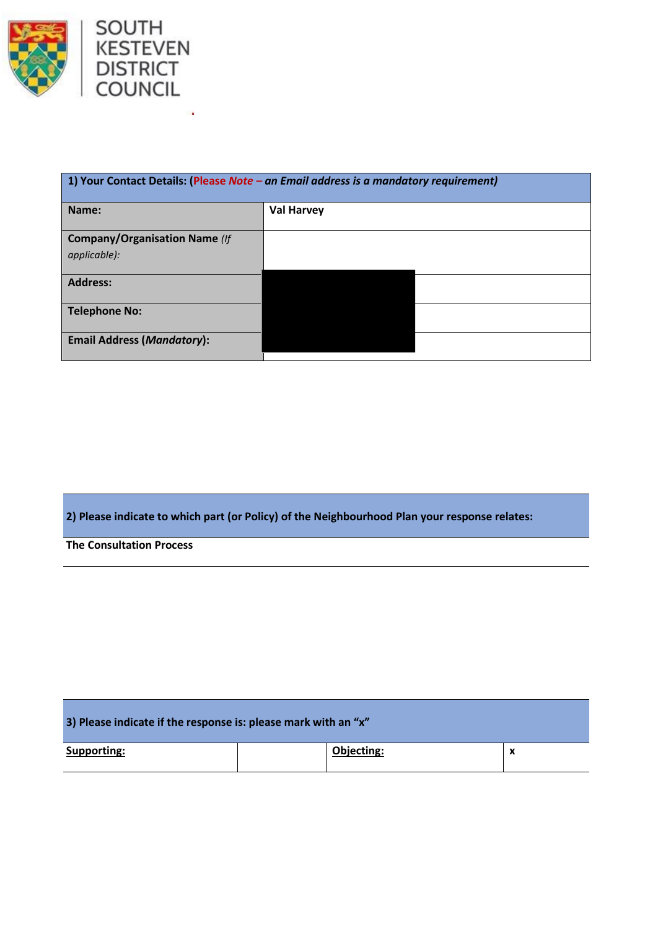



×,

| 1) Your Contact Details: (Please Note - an Email address is a mandatory requirement) |                   |  |  |
|--------------------------------------------------------------------------------------|-------------------|--|--|
| Name:                                                                                | <b>Val Harvey</b> |  |  |
| <b>Company/Organisation Name (If</b>                                                 |                   |  |  |
| applicable):                                                                         |                   |  |  |
| <b>Address:</b>                                                                      |                   |  |  |
| <b>Telephone No:</b>                                                                 |                   |  |  |
| <b>Email Address (Mandatory):</b>                                                    |                   |  |  |

## **2) Please indicate to which part (or Policy) of the Neighbourhood Plan your response relates:**

**The Consultation Process**

| 3) Please indicate if the response is: please mark with an "x" |  |            |   |  |
|----------------------------------------------------------------|--|------------|---|--|
| Supporting:                                                    |  | Objecting: | X |  |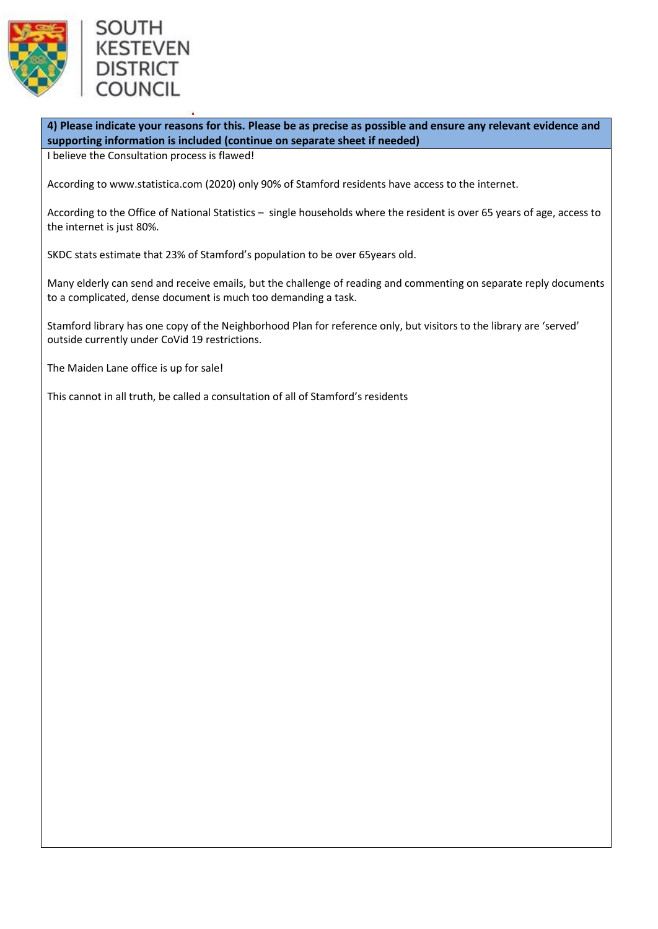



**4) Please indicate your reasons for this. Please be as precise as possible and ensure any relevant evidence and supporting information is included (continue on separate sheet if needed)**

I believe the Consultation process is flawed!

According to [www.statistica.com](http://www.statistica.com/) (2020) only 90% of Stamford residents have access to the internet.

According to the Office of National Statistics – single households where the resident is over 65 years of age, access to the internet is just 80%.

SKDC stats estimate that 23% of Stamford's population to be over 65years old.

Many elderly can send and receive emails, but the challenge of reading and commenting on separate reply documents to a complicated, dense document is much too demanding a task.

Stamford library has one copy of the Neighborhood Plan for reference only, but visitors to the library are 'served' outside currently under CoVid 19 restrictions.

The Maiden Lane office is up for sale!

This cannot in all truth, be called a consultation of all of Stamford's residents